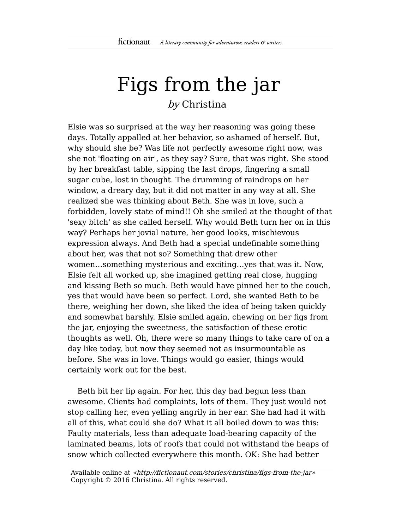## Figs from the jar by Christina

Elsie was so surprised at the way her reasoning was going these days. Totally appalled at her behavior, so ashamed of herself. But, why should she be? Was life not perfectly awesome right now, was she not 'floating on air', as they say? Sure, that was right. She stood by her breakfast table, sipping the last drops, fingering a small sugar cube, lost in thought. The drumming of raindrops on her window, a dreary day, but it did not matter in any way at all. She realized she was thinking about Beth. She was in love, such a forbidden, lovely state of mind!! Oh she smiled at the thought of that 'sexy bitch' as she called herself. Why would Beth turn her on in this way? Perhaps her jovial nature, her good looks, mischievous expression always. And Beth had a special undefinable something about her, was that not so? Something that drew other women…something mysterious and exciting…yes that was it. Now, Elsie felt all worked up, she imagined getting real close, hugging and kissing Beth so much. Beth would have pinned her to the couch, yes that would have been so perfect. Lord, she wanted Beth to be there, weighing her down, she liked the idea of being taken quickly and somewhat harshly. Elsie smiled again, chewing on her figs from the jar, enjoying the sweetness, the satisfaction of these erotic thoughts as well. Oh, there were so many things to take care of on a day like today, but now they seemed not as insurmountable as before. She was in love. Things would go easier, things would certainly work out for the best.

Beth bit her lip again. For her, this day had begun less than awesome. Clients had complaints, lots of them. They just would not stop calling her, even yelling angrily in her ear. She had had it with all of this, what could she do? What it all boiled down to was this: Faulty materials, less than adequate load-bearing capacity of the laminated beams, lots of roofs that could not withstand the heaps of snow which collected everywhere this month. OK: She had better

Available online at «http://fictionaut.com/stories/christina/figs-from-the-jar» Copyright © 2016 Christina. All rights reserved.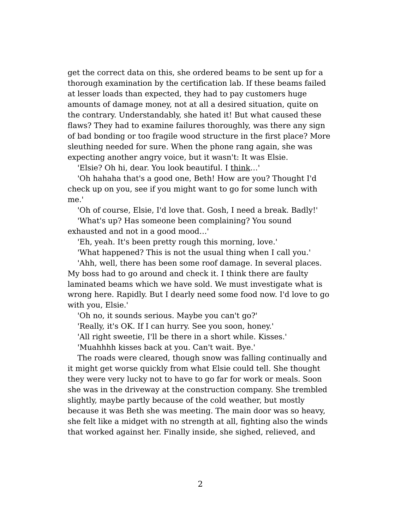get the correct data on this, she ordered beams to be sent up for a thorough examination by the certification lab. If these beams failed at lesser loads than expected, they had to pay customers huge amounts of damage money, not at all a desired situation, quite on the contrary. Understandably, she hated it! But what caused these flaws? They had to examine failures thoroughly, was there any sign of bad bonding or too fragile wood structure in the first place? More sleuthing needed for sure. When the phone rang again, she was expecting another angry voice, but it wasn't: It was Elsie.

'Elsie? Oh hi, dear. You look beautiful. I think…'

'Oh hahaha that's a good one, Beth! How are you? Thought I'd check up on you, see if you might want to go for some lunch with me.'

'Oh of course, Elsie, I'd love that. Gosh, I need a break. Badly!'

'What's up? Has someone been complaining? You sound exhausted and not in a good mood…'

'Eh, yeah. It's been pretty rough this morning, love.'

'What happened? This is not the usual thing when I call you.'

'Ahh, well, there has been some roof damage. In several places. My boss had to go around and check it. I think there are faulty laminated beams which we have sold. We must investigate what is wrong here. Rapidly. But I dearly need some food now. I'd love to go with you, Elsie.'

'Oh no, it sounds serious. Maybe you can't go?'

'Really, it's OK. If I can hurry. See you soon, honey.'

'All right sweetie, I'll be there in a short while. Kisses.'

'Muahhhh kisses back at you. Can't wait. Bye.'

The roads were cleared, though snow was falling continually and it might get worse quickly from what Elsie could tell. She thought they were very lucky not to have to go far for work or meals. Soon she was in the driveway at the construction company. She trembled slightly, maybe partly because of the cold weather, but mostly because it was Beth she was meeting. The main door was so heavy, she felt like a midget with no strength at all, fighting also the winds that worked against her. Finally inside, she sighed, relieved, and